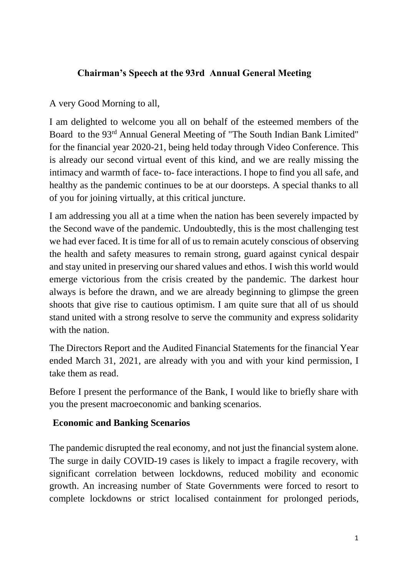## **Chairman's Speech at the 93rd Annual General Meeting**

A very Good Morning to all,

I am delighted to welcome you all on behalf of the esteemed members of the Board to the 93rd Annual General Meeting of "The South Indian Bank Limited" for the financial year 2020-21, being held today through Video Conference. This is already our second virtual event of this kind, and we are really missing the intimacy and warmth of face- to- face interactions. I hope to find you all safe, and healthy as the pandemic continues to be at our doorsteps. A special thanks to all of you for joining virtually, at this critical juncture.

I am addressing you all at a time when the nation has been severely impacted by the Second wave of the pandemic. Undoubtedly, this is the most challenging test we had ever faced. It is time for all of us to remain acutely conscious of observing the health and safety measures to remain strong, guard against cynical despair and stay united in preserving our shared values and ethos. I wish this world would emerge victorious from the crisis created by the pandemic. The darkest hour always is before the drawn, and we are already beginning to glimpse the green shoots that give rise to cautious optimism. I am quite sure that all of us should stand united with a strong resolve to serve the community and express solidarity with the nation.

The Directors Report and the Audited Financial Statements for the financial Year ended March 31, 2021, are already with you and with your kind permission, I take them as read.

Before I present the performance of the Bank, I would like to briefly share with you the present macroeconomic and banking scenarios.

## **Economic and Banking Scenarios**

The pandemic disrupted the real economy, and not just the financial system alone. The surge in daily COVID-19 cases is likely to impact a fragile recovery, with significant correlation between lockdowns, reduced mobility and economic growth. An increasing number of State Governments were forced to resort to complete lockdowns or strict localised containment for prolonged periods,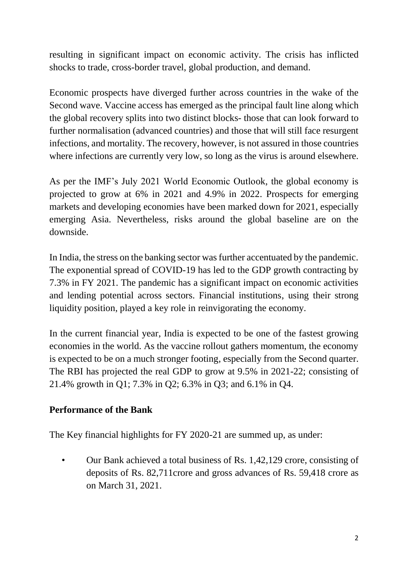resulting in significant impact on economic activity. The crisis has inflicted shocks to trade, cross-border travel, global production, and demand.

Economic prospects have diverged further across countries in the wake of the Second wave. Vaccine access has emerged as the principal fault line along which the global recovery splits into two distinct blocks- those that can look forward to further normalisation (advanced countries) and those that will still face resurgent infections, and mortality. The recovery, however, is not assured in those countries where infections are currently very low, so long as the virus is around elsewhere.

As per the IMF's July 2021 World Economic Outlook, the global economy is projected to grow at 6% in 2021 and 4.9% in 2022. Prospects for emerging markets and developing economies have been marked down for 2021, especially emerging Asia. Nevertheless, risks around the global baseline are on the downside.

In India, the stress on the banking sector was further accentuated by the pandemic. The exponential spread of COVID-19 has led to the GDP growth contracting by 7.3% in FY 2021. The pandemic has a significant impact on economic activities and lending potential across sectors. Financial institutions, using their strong liquidity position, played a key role in reinvigorating the economy.

In the current financial year, India is expected to be one of the fastest growing economies in the world. As the vaccine rollout gathers momentum, the economy is expected to be on a much stronger footing, especially from the Second quarter. The RBI has projected the real GDP to grow at 9.5% in 2021-22; consisting of 21.4% growth in Q1; 7.3% in Q2; 6.3% in Q3; and 6.1% in Q4.

## **Performance of the Bank**

The Key financial highlights for FY 2020-21 are summed up, as under:

• Our Bank achieved a total business of Rs. 1.42,129 crore, consisting of deposits of Rs. 82,711crore and gross advances of Rs. 59,418 crore as on March 31, 2021.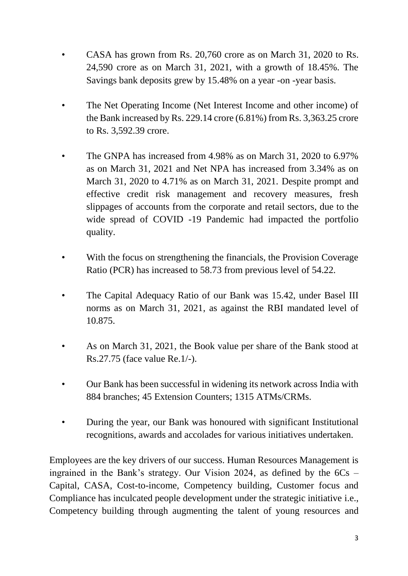- CASA has grown from Rs. 20,760 crore as on March 31, 2020 to Rs. 24,590 crore as on March 31, 2021, with a growth of 18.45%. The Savings bank deposits grew by 15.48% on a year -on -year basis.
- The Net Operating Income (Net Interest Income and other income) of the Bank increased by Rs. 229.14 crore (6.81%) from Rs. 3,363.25 crore to Rs. 3,592.39 crore.
- The GNPA has increased from 4.98% as on March 31, 2020 to 6.97% as on March 31, 2021 and Net NPA has increased from 3.34% as on March 31, 2020 to 4.71% as on March 31, 2021. Despite prompt and effective credit risk management and recovery measures, fresh slippages of accounts from the corporate and retail sectors, due to the wide spread of COVID -19 Pandemic had impacted the portfolio quality.
- With the focus on strengthening the financials, the Provision Coverage Ratio (PCR) has increased to 58.73 from previous level of 54.22.
- The Capital Adequacy Ratio of our Bank was 15.42, under Basel III norms as on March 31, 2021, as against the RBI mandated level of 10.875.
- As on March 31, 2021, the Book value per share of the Bank stood at Rs.27.75 (face value Re.1/-).
- Our Bank has been successful in widening its network across India with 884 branches; 45 Extension Counters; 1315 ATMs/CRMs.
- During the year, our Bank was honoured with significant Institutional recognitions, awards and accolades for various initiatives undertaken.

Employees are the key drivers of our success. Human Resources Management is ingrained in the Bank's strategy. Our Vision 2024, as defined by the  $6Cs$  – Capital, CASA, Cost-to-income, Competency building, Customer focus and Compliance has inculcated people development under the strategic initiative i.e., Competency building through augmenting the talent of young resources and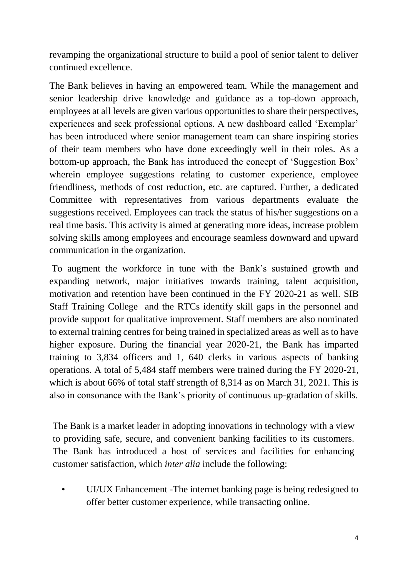revamping the organizational structure to build a pool of senior talent to deliver continued excellence.

The Bank believes in having an empowered team. While the management and senior leadership drive knowledge and guidance as a top-down approach, employees at all levels are given various opportunities to share their perspectives, experiences and seek professional options. A new dashboard called 'Exemplar' has been introduced where senior management team can share inspiring stories of their team members who have done exceedingly well in their roles. As a bottom-up approach, the Bank has introduced the concept of 'Suggestion Box' wherein employee suggestions relating to customer experience, employee friendliness, methods of cost reduction, etc. are captured. Further, a dedicated Committee with representatives from various departments evaluate the suggestions received. Employees can track the status of his/her suggestions on a real time basis. This activity is aimed at generating more ideas, increase problem solving skills among employees and encourage seamless downward and upward communication in the organization.

To augment the workforce in tune with the Bank's sustained growth and expanding network, major initiatives towards training, talent acquisition, motivation and retention have been continued in the FY 2020-21 as well. SIB Staff Training College and the RTCs identify skill gaps in the personnel and provide support for qualitative improvement. Staff members are also nominated to external training centres for being trained in specialized areas as well as to have higher exposure. During the financial year 2020-21, the Bank has imparted training to 3,834 officers and 1, 640 clerks in various aspects of banking operations. A total of 5,484 staff members were trained during the FY 2020-21, which is about 66% of total staff strength of 8,314 as on March 31, 2021. This is also in consonance with the Bank's priority of continuous up-gradation of skills.

The Bank is a market leader in adopting innovations in technology with a view to providing safe, secure, and convenient banking facilities to its customers. The Bank has introduced a host of services and facilities for enhancing customer satisfaction, which *inter alia* include the following:

• UI/UX Enhancement -The internet banking page is being redesigned to offer better customer experience, while transacting online.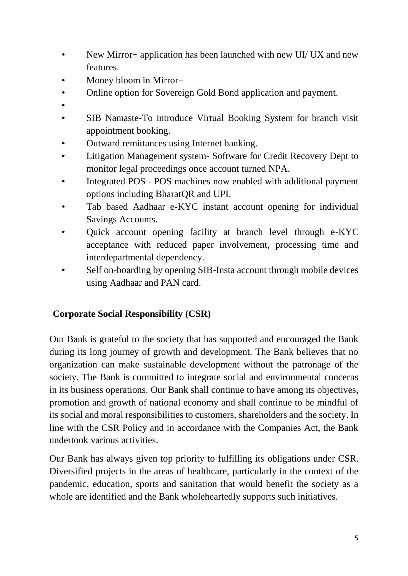- New Mirror+ application has been launched with new UI/ UX and new features.
- Money bloom in Mirror+
- Online option for Sovereign Gold Bond application and payment.
- •
- SIB Namaste-To introduce Virtual Booking System for branch visit appointment booking.
- Outward remittances using Internet banking.
- Litigation Management system- Software for Credit Recovery Dept to monitor legal proceedings once account turned NPA.
- Integrated POS POS machines now enabled with additional payment options including BharatQR and UPI.
- Tab based Aadhaar e-KYC instant account opening for individual Savings Accounts.
- Quick account opening facility at branch level through e-KYC acceptance with reduced paper involvement, processing time and interdepartmental dependency.
- Self on-boarding by opening SIB-Insta account through mobile devices using Aadhaar and PAN card.

# **Corporate Social Responsibility (CSR)**

Our Bank is grateful to the society that has supported and encouraged the Bank during its long journey of growth and development. The Bank believes that no organization can make sustainable development without the patronage of the society. The Bank is committed to integrate social and environmental concerns in its business operations. Our Bank shall continue to have among its objectives, promotion and growth of national economy and shall continue to be mindful of its social and moral responsibilities to customers, shareholders and the society. In line with the CSR Policy and in accordance with the Companies Act, the Bank undertook various activities.

Our Bank has always given top priority to fulfilling its obligations under CSR. Diversified projects in the areas of healthcare, particularly in the context of the pandemic, education, sports and sanitation that would benefit the society as a whole are identified and the Bank wholeheartedly supports such initiatives.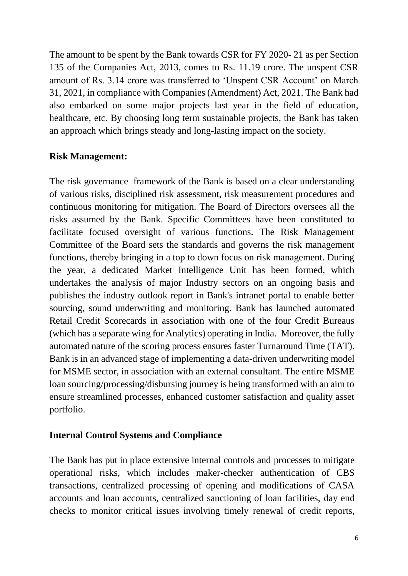The amount to be spent by the Bank towards CSR for FY 2020- 21 as per Section 135 of the Companies Act, 2013, comes to Rs. 11.19 crore. The unspent CSR amount of Rs. 3.14 crore was transferred to 'Unspent CSR Account' on March 31, 2021, in compliance with Companies (Amendment) Act, 2021. The Bank had also embarked on some major projects last year in the field of education, healthcare, etc. By choosing long term sustainable projects, the Bank has taken an approach which brings steady and long-lasting impact on the society.

### **Risk Management:**

The risk governance framework of the Bank is based on a clear understanding of various risks, disciplined risk assessment, risk measurement procedures and continuous monitoring for mitigation. The Board of Directors oversees all the risks assumed by the Bank. Specific Committees have been constituted to facilitate focused oversight of various functions. The Risk Management Committee of the Board sets the standards and governs the risk management functions, thereby bringing in a top to down focus on risk management. During the year, a dedicated Market Intelligence Unit has been formed, which undertakes the analysis of major Industry sectors on an ongoing basis and publishes the industry outlook report in Bank's intranet portal to enable better sourcing, sound underwriting and monitoring. Bank has launched automated Retail Credit Scorecards in association with one of the four Credit Bureaus (which has a separate wing for Analytics) operating in India. Moreover, the fully automated nature of the scoring process ensures faster Turnaround Time (TAT). Bank is in an advanced stage of implementing a data-driven underwriting model for MSME sector, in association with an external consultant. The entire MSME loan sourcing/processing/disbursing journey is being transformed with an aim to ensure streamlined processes, enhanced customer satisfaction and quality asset portfolio.

#### **Internal Control Systems and Compliance**

The Bank has put in place extensive internal controls and processes to mitigate operational risks, which includes maker-checker authentication of CBS transactions, centralized processing of opening and modifications of CASA accounts and loan accounts, centralized sanctioning of loan facilities, day end checks to monitor critical issues involving timely renewal of credit reports,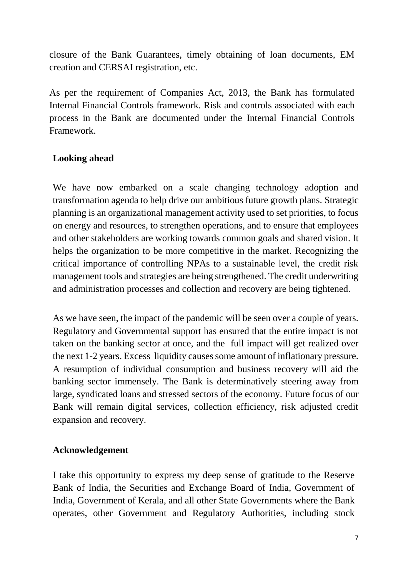closure of the Bank Guarantees, timely obtaining of loan documents, EM creation and CERSAI registration, etc.

As per the requirement of Companies Act, 2013, the Bank has formulated Internal Financial Controls framework. Risk and controls associated with each process in the Bank are documented under the Internal Financial Controls Framework.

## **Looking ahead**

We have now embarked on a scale changing technology adoption and transformation agenda to help drive our ambitious future growth plans. Strategic planning is an organizational management activity used to set priorities, to focus on energy and resources, to strengthen operations, and to ensure that employees and other stakeholders are working towards common goals and shared vision. It helps the organization to be more competitive in the market. Recognizing the critical importance of controlling NPAs to a sustainable level, the credit risk management tools and strategies are being strengthened. The credit underwriting and administration processes and collection and recovery are being tightened.

As we have seen, the impact of the pandemic will be seen over a couple of years. Regulatory and Governmental support has ensured that the entire impact is not taken on the banking sector at once, and the full impact will get realized over the next 1-2 years. Excess liquidity causes some amount of inflationary pressure. A resumption of individual consumption and business recovery will aid the banking sector immensely. The Bank is determinatively steering away from large, syndicated loans and stressed sectors of the economy. Future focus of our Bank will remain digital services, collection efficiency, risk adjusted credit expansion and recovery.

## **Acknowledgement**

I take this opportunity to express my deep sense of gratitude to the Reserve Bank of India, the Securities and Exchange Board of India, Government of India, Government of Kerala, and all other State Governments where the Bank operates, other Government and Regulatory Authorities, including stock